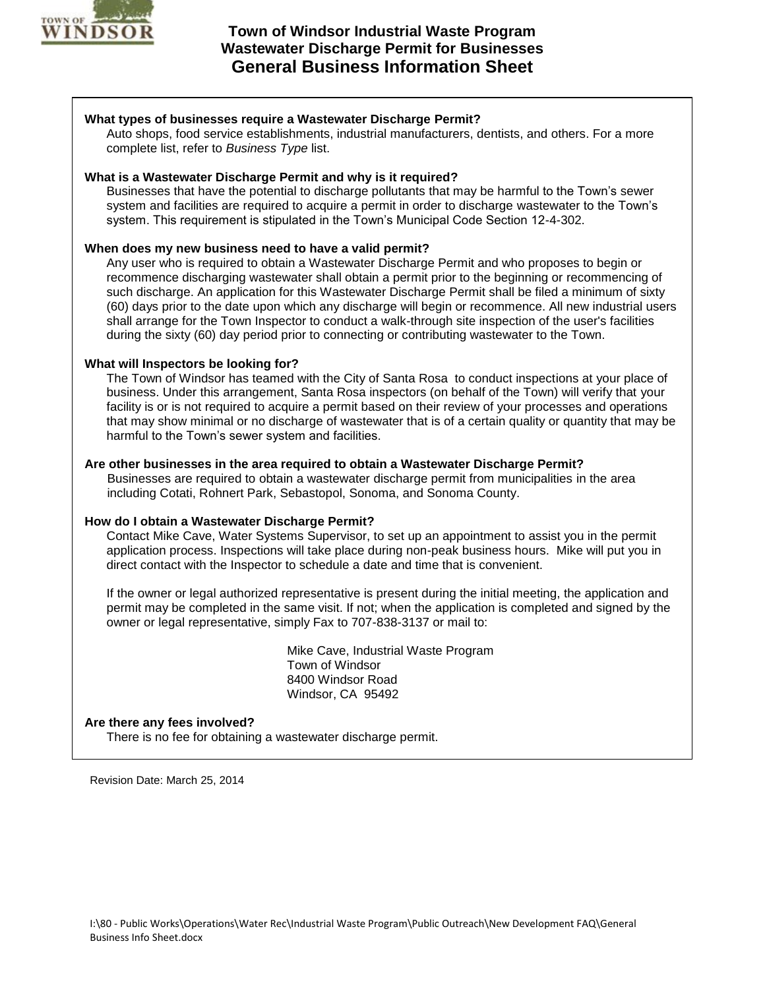

# **Town of Windsor Industrial Waste Program Wastewater Discharge Permit for Businesses General Business Information Sheet**

# **What types of businesses require a Wastewater Discharge Permit?**

Auto shops, food service establishments, industrial manufacturers, dentists, and others. For a more complete list, refer to *Business Type* list.

# **What is a Wastewater Discharge Permit and why is it required?**

Businesses that have the potential to discharge pollutants that may be harmful to the Town's sewer system and facilities are required to acquire a permit in order to discharge wastewater to the Town's system. This requirement is stipulated in the Town's Municipal Code Section 12-4-302.

# **When does my new business need to have a valid permit?**

Any user who is required to obtain a Wastewater Discharge Permit and who proposes to begin or recommence discharging wastewater shall obtain a permit prior to the beginning or recommencing of such discharge. An application for this Wastewater Discharge Permit shall be filed a minimum of sixty (60) days prior to the date upon which any discharge will begin or recommence. All new industrial users shall arrange for the Town Inspector to conduct a walk-through site inspection of the user's facilities during the sixty (60) day period prior to connecting or contributing wastewater to the Town.

# **What will Inspectors be looking for?**

The Town of Windsor has teamed with the City of Santa Rosa to conduct inspections at your place of business. Under this arrangement, Santa Rosa inspectors (on behalf of the Town) will verify that your facility is or is not required to acquire a permit based on their review of your processes and operations that may show minimal or no discharge of wastewater that is of a certain quality or quantity that may be harmful to the Town's sewer system and facilities.

# **Are other businesses in the area required to obtain a Wastewater Discharge Permit?**

Businesses are required to obtain a wastewater discharge permit from municipalities in the area including Cotati, Rohnert Park, Sebastopol, Sonoma, and Sonoma County.

#### **How do I obtain a Wastewater Discharge Permit?**

Contact Mike Cave, Water Systems Supervisor, to set up an appointment to assist you in the permit application process. Inspections will take place during non-peak business hours. Mike will put you in direct contact with the Inspector to schedule a date and time that is convenient.

If the owner or legal authorized representative is present during the initial meeting, the application and permit may be completed in the same visit. If not; when the application is completed and signed by the owner or legal representative, simply Fax to 707-838-3137 or mail to:

> Mike Cave, Industrial Waste Program Town of Windsor 8400 Windsor Road Windsor, CA 95492

#### **Are there any fees involved?**

There is no fee for obtaining a wastewater discharge permit.

Revision Date: March 25, 2014